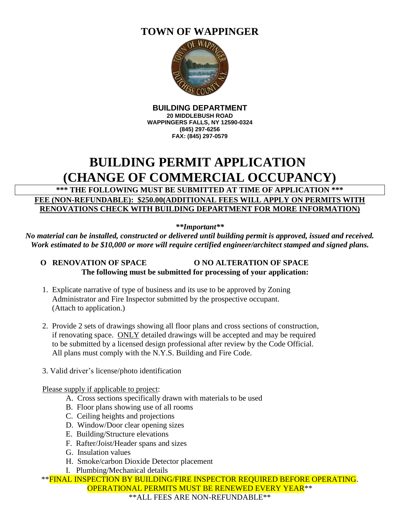### **TOWN OF WAPPINGER**



**BUILDING DEPARTMENT 20 MIDDLEBUSH ROAD WAPPINGERS FALLS, NY 12590-0324 (845) 297-6256 FAX: (845) 297-0579**

## **BUILDING PERMIT APPLICATION (CHANGE OF COMMERCIAL OCCUPANCY)**

#### **\*\*\* THE FOLLOWING MUST BE SUBMITTED AT TIME OF APPLICATION \*\*\* FEE (NON-REFUNDABLE): \$250.00(ADDITIONAL FEES WILL APPLY ON PERMITS WITH RENOVATIONS CHECK WITH BUILDING DEPARTMENT FOR MORE INFORMATION)**

*\*\*Important\*\**

*No material can be installed, constructed or delivered until building permit is approved, issued and received. Work estimated to be \$10,000 or more will require certified engineer/architect stamped and signed plans.*

#### **O RENOVATION OF SPACE O NO ALTERATION OF SPACE The following must be submitted for processing of your application:**

- 1. Explicate narrative of type of business and its use to be approved by Zoning Administrator and Fire Inspector submitted by the prospective occupant. (Attach to application.)
- 2. Provide 2 sets of drawings showing all floor plans and cross sections of construction, if renovating space. ONLY detailed drawings will be accepted and may be required to be submitted by a licensed design professional after review by the Code Official. All plans must comply with the N.Y.S. Building and Fire Code.
- 3. Valid driver's license/photo identification

#### Please supply if applicable to project:

- A. Cross sections specifically drawn with materials to be used
- B. Floor plans showing use of all rooms
- C. Ceiling heights and projections
- D. Window/Door clear opening sizes
- E. Building/Structure elevations
- F. Rafter/Joist/Header spans and sizes
- G. Insulation values
- H. Smoke/carbon Dioxide Detector placement
- I. Plumbing/Mechanical details

\*\*FINAL INSPECTION BY BUILDING/FIRE INSPECTOR REQUIRED BEFORE OPERATING. OPERATIONAL PERMITS MUST BE RENEWED EVERY YEAR\*\* \*\*ALL FEES ARE NON-REFUNDABLE\*\*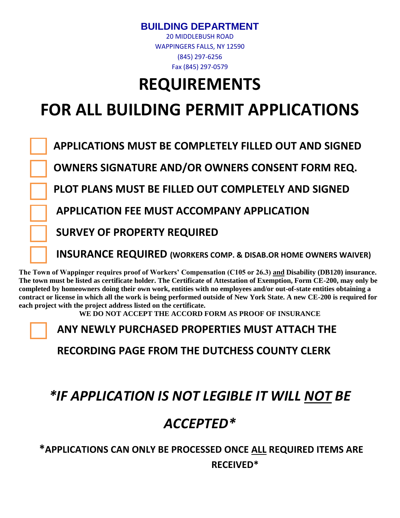### **BUILDING DEPARTMENT**

20 MIDDLEBUSH ROAD WAPPINGERS FALLS, NY 12590 (845) 297-6256 Fax (845) 297-0579

# **REQUIREMENTS**

# **FOR ALL BUILDING PERMIT APPLICATIONS**

 **APPLICATIONS MUST BE COMPLETELY FILLED OUT AND SIGNED**

 **OWNERS SIGNATURE AND/OR OWNERS CONSENT FORM REQ.** 

 **PLOT PLANS MUST BE FILLED OUT COMPLETELY AND SIGNED**

 **APPLICATION FEE MUST ACCOMPANY APPLICATION**

 **SURVEY OF PROPERTY REQUIRED**

 **INSURANCE REQUIRED (WORKERS COMP. & DISAB.OR HOME OWNERS WAIVER)**

**The Town of Wappinger requires proof of Workers' Compensation (C105 or 26.3) and Disability (DB120) insurance. The town must be listed as certificate holder. The Certificate of Attestation of Exemption, Form CE-200, may only be completed by homeowners doing their own work, entities with no employees and/or out-of-state entities obtaining a contract or license in which all the work is being performed outside of New York State. A new CE-200 is required for each project with the project address listed on the certificate.** 

**WE DO NOT ACCEPT THE ACCORD FORM AS PROOF OF INSURANCE**

**ANY NEWLY PURCHASED PROPERTIES MUST ATTACH THE** 

**RECORDING PAGE FROM THE DUTCHESS COUNTY CLERK**

# *\*IF APPLICATION IS NOT LEGIBLE IT WILL NOT BE*

# *ACCEPTED\**

### **\*APPLICATIONS CAN ONLY BE PROCESSED ONCE ALL REQUIRED ITEMS ARE RECEIVED\***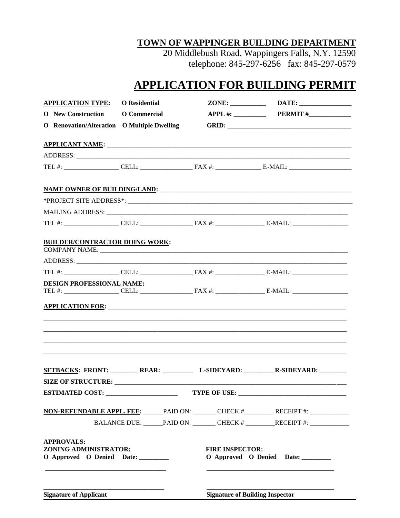#### TOWN OF WAPPINGER BUILDING DEPARTMENT

20 Middlebush Road, Wappingers Falls, N.Y. 12590<br>telephone: 845-297-6256 fax: 845-297-0579

### **APPLICATION FOR BUILDING PERMIT**

| <b>APPLICATION TYPE:</b> O Residential                                  |                                        |                                                                |
|-------------------------------------------------------------------------|----------------------------------------|----------------------------------------------------------------|
| O New Construction O Commercial                                         |                                        |                                                                |
| O Renovation/Alteration O Multiple Dwelling                             |                                        |                                                                |
|                                                                         |                                        |                                                                |
|                                                                         |                                        |                                                                |
|                                                                         |                                        |                                                                |
|                                                                         |                                        |                                                                |
|                                                                         |                                        |                                                                |
|                                                                         |                                        |                                                                |
|                                                                         |                                        |                                                                |
| <b>BUILDER/CONTRACTOR DOING WORK:</b>                                   |                                        |                                                                |
|                                                                         |                                        | <u> 1980 - Johann Barbara, margaret eta idazlea (h. 1980).</u> |
|                                                                         |                                        |                                                                |
| <b>DESIGN PROFESSIONAL NAME:</b>                                        |                                        |                                                                |
|                                                                         |                                        |                                                                |
|                                                                         |                                        | SETBACKS: FRONT: REAR: L-SIDEYARD: R-SIDEYARD: R-SIDEYARD:     |
|                                                                         |                                        |                                                                |
|                                                                         |                                        |                                                                |
|                                                                         |                                        | NON-REFUNDABLE APPL. FEE: PAID ON: CHECK # RECEIPT #: _______  |
|                                                                         |                                        | BALANCE DUE: PAID ON: CHECK # RECEIPT #:                       |
| <b>APPROVALS:</b><br>ZONING ADMINISTRATOR:<br>O Approved O Denied Date: | <b>FIRE INSPECTOR:</b>                 | O Approved O Denied Date:                                      |
| <b>Signature of Applicant</b>                                           | <b>Signature of Building Inspector</b> |                                                                |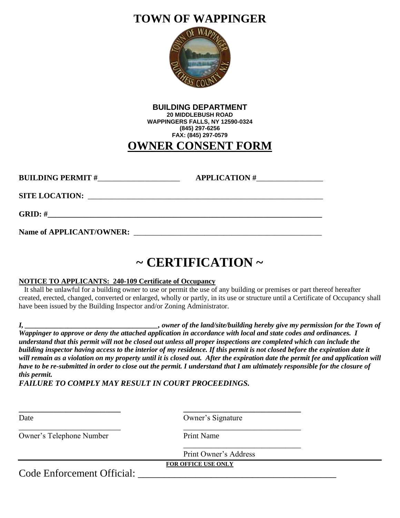### **TOWN OF WAPPINGER**



| <b>BUILDING DEPARTMENT</b>      |
|---------------------------------|
| <b>20 MIDDLEBUSH ROAD</b>       |
| WAPPINGERS FALLS, NY 12590-0324 |
| (845) 297-6256                  |
| FAX: (845) 297-0579             |
| <b>OWNER CONSENT FORM</b>       |

| <b>BUILDING PERMIT#_</b><br><u> 1980 - Jan Stein Stein, fransk politik (</u>         | APPLICATION # |
|--------------------------------------------------------------------------------------|---------------|
| <b>SITE LOCATION:</b><br><u> 1980 - John Stone, Amerikaanse kommunister († 1980)</u> |               |
| GRID: #                                                                              |               |
| <b>Name of APPLICANT/OWNER:</b>                                                      |               |

# **~ CERTIFICATION ~**

#### **NOTICE TO APPLICANTS: 240-109 Certificate of Occupancy**

 It shall be unlawful for a building owner to use or permit the use of any building or premises or part thereof hereafter created, erected, changed, converted or enlarged, wholly or partly, in its use or structure until a Certificate of Occupancy shall have been issued by the Building Inspector and/or Zoning Administrator.

*I,* \_\_\_\_\_\_\_\_\_\_\_\_\_\_\_\_\_\_\_\_\_\_\_\_\_\_, owner of the land/site/building hereby give my permission for the Town of *Wappinger to approve or deny the attached application in accordance with local and state codes and ordinances. I understand that this permit will not be closed out unless all proper inspections are completed which can include the building inspector having access to the interior of my residence. If this permit is not closed before the expiration date it will remain as a violation on my property until it is closed out. After the expiration date the permit fee and application will have to be re-submitted in order to close out the permit. I understand that I am ultimately responsible for the closure of this permit.*

*FAILURE TO COMPLY MAY RESULT IN COURT PROCEEDINGS.*

| Date                       | Owner's Signature          |  |
|----------------------------|----------------------------|--|
| Owner's Telephone Number   | <b>Print Name</b>          |  |
|                            | Print Owner's Address      |  |
|                            | <b>FOR OFFICE USE ONLY</b> |  |
| Code Enforcement Official: |                            |  |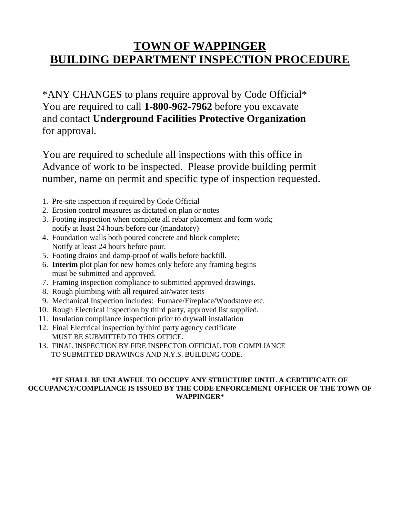### **TOWN OF WAPPINGER BUILDING DEPARTMENT INSPECTION PROCEDURE**

\*ANY CHANGES to plans require approval by Code Official\* You are required to call **1-800-962-7962** before you excavate and contact **Underground Facilities Protective Organization** for approval.

You are required to schedule all inspections with this office in Advance of work to be inspected. Please provide building permit number, name on permit and specific type of inspection requested.

- 1. Pre-site inspection if required by Code Official
- 2. Erosion control measures as dictated on plan or notes
- 3. Footing inspection when complete all rebar placement and form work; notify at least 24 hours before our (mandatory)
- 4. Foundation walls both poured concrete and block complete; Notify at least 24 hours before pour.
- 5. Footing drains and damp-proof of walls before backfill.
- 6. **Interim** plot plan for new homes only before any framing begins must be submitted and approved.
- 7. Framing inspection compliance to submitted approved drawings.
- 8. Rough plumbing with all required air/water tests
- 9. Mechanical Inspection includes: Furnace/Fireplace/Woodstove etc.
- 10. Rough Electrical inspection by third party, approved list supplied.
- 11. Insulation compliance inspection prior to drywall installation
- 12. Final Electrical inspection by third party agency certificate MUST BE SUBMITTED TO THIS OFFICE.
- 13. FINAL INSPECTION BY FIRE INSPECTOR OFFICIAL FOR COMPLIANCE TO SUBMITTED DRAWINGS AND N.Y.S. BUILDING CODE.

#### **\*IT SHALL BE UNLAWFUL TO OCCUPY ANY STRUCTURE UNTIL A CERTIFICATE OF OCCUPANCY/COMPLIANCE IS ISSUED BY THE CODE ENFORCEMENT OFFICER OF THE TOWN OF WAPPINGER\***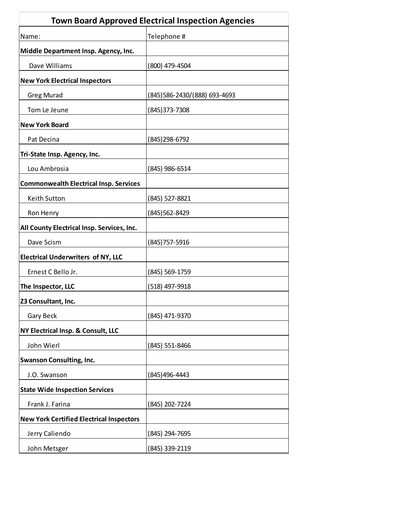|                                                 | <b>Town Board Approved Electrical Inspection Agencies</b> |
|-------------------------------------------------|-----------------------------------------------------------|
| Name:                                           | Telephone #                                               |
| Middle Department Insp. Agency, Inc.            |                                                           |
| Dave Williams                                   | (800) 479-4504                                            |
| <b>New York Electrical Inspectors</b>           |                                                           |
| <b>Greg Murad</b>                               | (845) 586-2430/ (888) 693-4693                            |
| Tom Le Jeune                                    | (845)373-7308                                             |
| <b>New York Board</b>                           |                                                           |
| Pat Decina                                      | (845) 298-6792                                            |
| Tri-State Insp. Agency, Inc.                    |                                                           |
| Lou Ambrosia                                    | (845) 986-6514                                            |
| <b>Commonwealth Electrical Insp. Services</b>   |                                                           |
| <b>Keith Sutton</b>                             | (845) 527-8821                                            |
| Ron Henry                                       | (845)562-8429                                             |
| All County Electrical Insp. Services, Inc.      |                                                           |
| Dave Scism                                      | (845)757-5916                                             |
| <b>Electrical Underwriters of NY, LLC</b>       |                                                           |
| Ernest C Bello Jr.                              | (845) 569-1759                                            |
| The Inspector, LLC                              | (518) 497-9918                                            |
| Z3 Consultant, Inc.                             |                                                           |
| Gary Beck                                       | (845) 471-9370                                            |
| NY Electrical Insp. & Consult, LLC              |                                                           |
| John Wierl                                      | (845) 551-8466                                            |
| <b>Swanson Consulting, Inc.</b>                 |                                                           |
| J.O. Swanson                                    | (845)496-4443                                             |
| <b>State Wide Inspection Services</b>           |                                                           |
| Frank J. Farina                                 | (845) 202-7224                                            |
| <b>New York Certified Electrical Inspectors</b> |                                                           |
| Jerry Caliendo                                  | (845) 294-7695                                            |
| John Metsger                                    | (845) 339-2119                                            |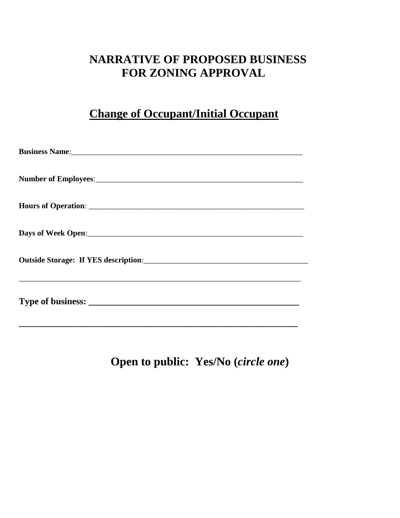### **NARRATIVE OF PROPOSED BUSINESS FOR ZONING APPROVAL**

### **Change of Occupant/Initial Occupant**

| Business Name: 2008 Manual Communication of the Manual Communication of the Manual Communication of the Manual Communication of the Manual Communication of the Manual Communication of the Manual Communication of the Manual |
|--------------------------------------------------------------------------------------------------------------------------------------------------------------------------------------------------------------------------------|
|                                                                                                                                                                                                                                |
|                                                                                                                                                                                                                                |
|                                                                                                                                                                                                                                |
|                                                                                                                                                                                                                                |
| ,我们也不能在这里的人,我们也不能在这里的人,我们也不能在这里的人,我们也不能在这里的人,我们也不能在这里的人,我们也不能在这里的人,我们也不能在这里的人,我们也                                                                                                                                              |

**Open to public: Yes/No (***circle one***)**